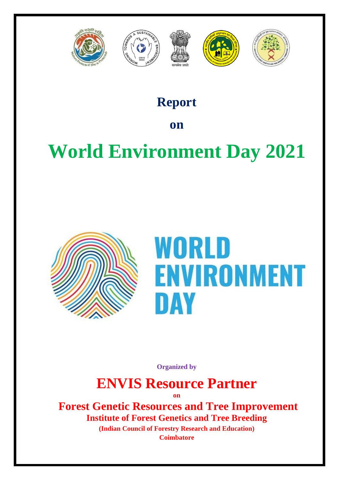









# **Report**

### **on**

# **World Environment Day 2021**



# WORLD **ENVIRONMENT** DAY

**Organized by**

# **ENVIS Resource Partner**

**on**

**Forest Genetic Resources and Tree Improvement Institute of Forest Genetics and Tree Breeding (Indian Council of Forestry Research and Education) Coimbatore**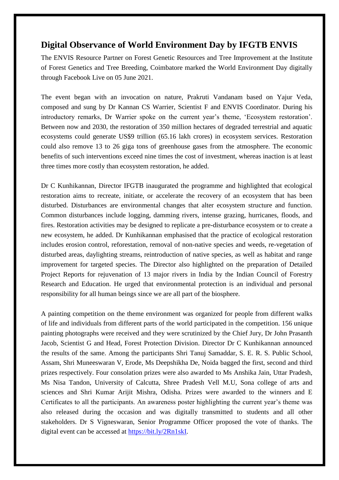### **Digital Observance of World Environment Day by IFGTB ENVIS**

The ENVIS Resource Partner on Forest Genetic Resources and Tree Improvement at the Institute of Forest Genetics and Tree Breeding, Coimbatore marked the World Environment Day digitally through Facebook Live on 05 June 2021.

The event began with an invocation on nature, Prakruti Vandanam based on Yajur Veda, composed and sung by Dr Kannan CS Warrier, Scientist F and ENVIS Coordinator. During his introductory remarks, Dr Warrier spoke on the current year's theme, 'Ecosystem restoration'. Between now and 2030, the restoration of 350 million hectares of degraded terrestrial and aquatic ecosystems could generate US\$9 trillion (65.16 lakh crores) in ecosystem services. Restoration could also remove 13 to 26 giga tons of greenhouse gases from the atmosphere. The economic benefits of such interventions exceed nine times the cost of investment, whereas inaction is at least three times more costly than ecosystem restoration, he added.

Dr C Kunhikannan, Director IFGTB inaugurated the programme and highlighted that ecological restoration aims to recreate, initiate, or accelerate the recovery of an ecosystem that has been disturbed. Disturbances are environmental changes that alter ecosystem structure and function. Common disturbances include logging, damming rivers, intense grazing, hurricanes, floods, and fires. Restoration activities may be designed to replicate a pre-disturbance ecosystem or to create a new ecosystem, he added. Dr Kunhikannan emphasised that the practice of ecological restoration includes erosion control, reforestation, removal of non-native species and weeds, re-vegetation of disturbed areas, daylighting streams, reintroduction of native species, as well as habitat and range improvement for targeted species. The Director also highlighted on the preparation of Detailed Project Reports for rejuvenation of 13 major rivers in India by the Indian Council of Forestry Research and Education. He urged that environmental protection is an individual and personal responsibility for all human beings since we are all part of the biosphere.

A painting competition on the theme environment was organized for people from different walks of life and individuals from different parts of the world participated in the competition. 156 unique painting photographs were received and they were scrutinized by the Chief Jury, Dr John Prasanth Jacob, Scientist G and Head, Forest Protection Division. Director Dr C Kunhikannan announced the results of the same. Among the participants Shri Tanuj Samaddar, S. E. R. S. Public School, Assam, Shri Muneeswaran V, Erode, Ms Deepshikha De, Noida bagged the first, second and third prizes respectively. Four consolation prizes were also awarded to Ms Anshika Jain, Uttar Pradesh, Ms Nisa Tandon, University of Calcutta, Shree Pradesh Vell M.U, Sona college of arts and sciences and Shri Kumar Arijit Mishra, Odisha. Prizes were awarded to the winners and E Certificates to all the participants. An awareness poster highlighting the current year's theme was also released during the occasion and was digitally transmitted to students and all other stakeholders. Dr S Vigneswaran, Senior Programme Officer proposed the vote of thanks. The digital event can be accessed at [https://bit.ly/2Rn1skI.](https://bit.ly/2Rn1skI)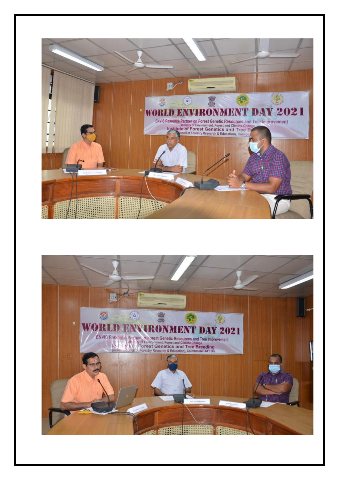

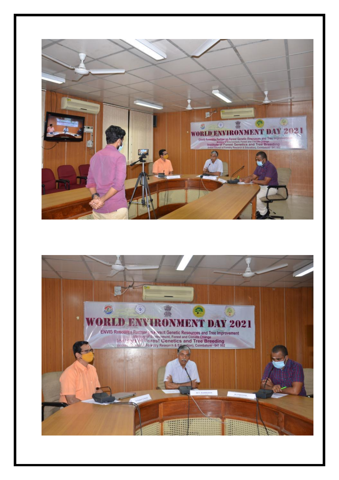

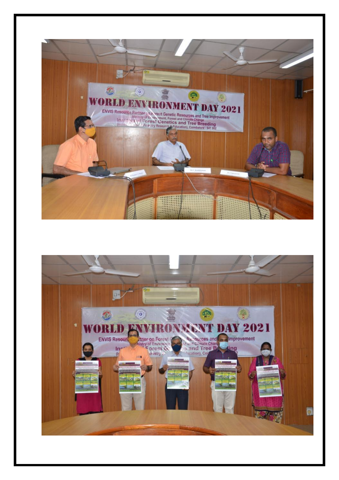